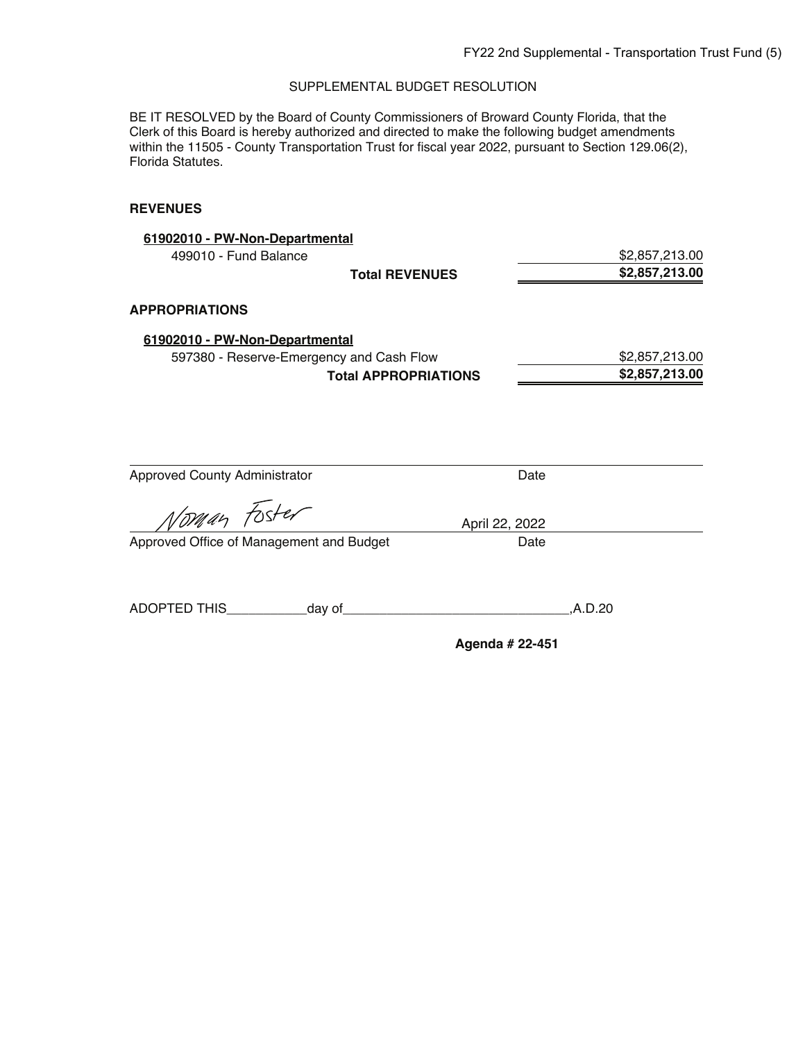BE IT RESOLVED by the Board of County Commissioners of Broward County Florida, that the Clerk of this Board is hereby authorized and directed to make the following budget amendments within the 11505 - County Transportation Trust for fiscal year 2022, pursuant to Section 129.06(2), Florida Statutes.

| 61902010 - PW-Non-Departmental           |                             |      |                |
|------------------------------------------|-----------------------------|------|----------------|
| 499010 - Fund Balance                    |                             |      | \$2,857,213.00 |
|                                          | <b>Total REVENUES</b>       |      | \$2,857,213.00 |
| <b>APPROPRIATIONS</b>                    |                             |      |                |
| 61902010 - PW-Non-Departmental           |                             |      |                |
| 597380 - Reserve-Emergency and Cash Flow |                             |      | \$2,857,213.00 |
|                                          | <b>Total APPROPRIATIONS</b> |      | \$2,857,213.00 |
| <b>Approved County Administrator</b>     |                             | Date |                |
| Norman Foster                            | April 22, 2022              |      |                |
| Approved Office of Management and Budget |                             | Date |                |
|                                          |                             |      | ,A.D.20        |
|                                          | Agenda # 22-451             |      |                |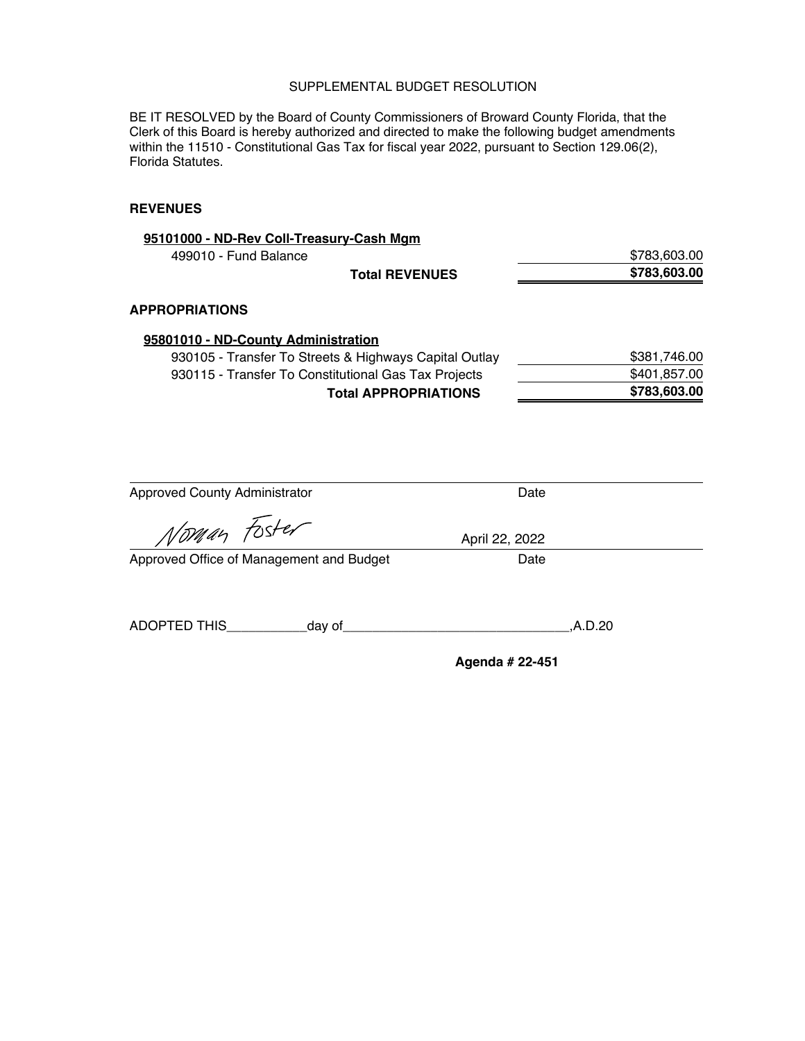BE IT RESOLVED by the Board of County Commissioners of Broward County Florida, that the Clerk of this Board is hereby authorized and directed to make the following budget amendments within the 11510 - Constitutional Gas Tax for fiscal year 2022, pursuant to Section 129.06(2), Florida Statutes.

| 95101000 - ND-Rev Coll-Treasury-Cash Mgm               |              |
|--------------------------------------------------------|--------------|
| 499010 - Fund Balance                                  | \$783,603.00 |
| <b>Total REVENUES</b>                                  | \$783,603.00 |
| APPROPRIATIONS                                         |              |
| 95801010 - ND-County Administration                    |              |
| 930105 - Transfer To Streets & Highways Capital Outlay | \$381,746.00 |
| 930115 - Transfer To Constitutional Gas Tax Projects   | \$401,857.00 |
| <b>Total APPROPRIATIONS</b>                            | \$783,603.00 |
|                                                        |              |

| <b>Approved County Administrator</b>     |                                                                                                                                                                                                                                     | Date            |         |
|------------------------------------------|-------------------------------------------------------------------------------------------------------------------------------------------------------------------------------------------------------------------------------------|-----------------|---------|
| Norman Foster                            |                                                                                                                                                                                                                                     | April 22, 2022  |         |
| Approved Office of Management and Budget |                                                                                                                                                                                                                                     | Date            |         |
|                                          |                                                                                                                                                                                                                                     |                 |         |
| ADOPTED THIS                             | day of <u>the contract of</u> the contract of the contract of the contract of the contract of the contract of the contract of the contract of the contract of the contract of the contract of the contract of the contract of the c |                 | .A.D.20 |
|                                          |                                                                                                                                                                                                                                     | Agenda # 22-451 |         |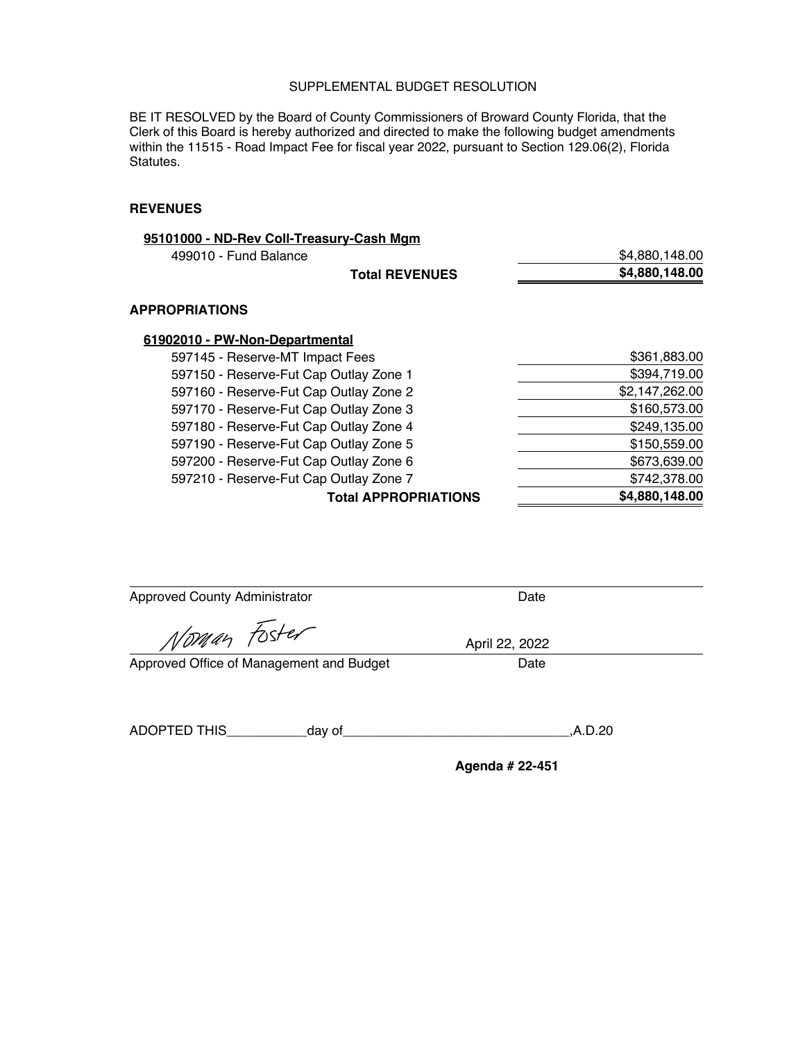BE IT RESOLVED by the Board of County Commissioners of Broward County Florida, that the Clerk of this Board is hereby authorized and directed to make the following budget amendments within the 11515 - Road Impact Fee for fiscal year 2022, pursuant to Section 129.06(2), Florida Statutes.

#### **REVENUES**

| 95101000 - ND-Rev Coll-Treasury-Cash Mgm |                             |                |
|------------------------------------------|-----------------------------|----------------|
| 499010 - Fund Balance                    |                             | \$4,880,148.00 |
|                                          | <b>Total REVENUES</b>       | \$4,880,148.00 |
| <b>APPROPRIATIONS</b>                    |                             |                |
| 61902010 - PW-Non-Departmental           |                             |                |
| 597145 - Reserve-MT Impact Fees          |                             | \$361,883.00   |
| 597150 - Reserve-Fut Cap Outlay Zone 1   |                             | \$394,719.00   |
| 597160 - Reserve-Fut Cap Outlay Zone 2   |                             | \$2,147,262.00 |
| 597170 - Reserve-Fut Cap Outlay Zone 3   |                             | \$160,573.00   |
| 597180 - Reserve-Fut Cap Outlay Zone 4   |                             | \$249,135.00   |
| 597190 - Reserve-Fut Cap Outlay Zone 5   |                             | \$150,559.00   |
| 597200 - Reserve-Fut Cap Outlay Zone 6   |                             | \$673,639.00   |
| 597210 - Reserve-Fut Cap Outlay Zone 7   |                             | \$742,378.00   |
|                                          | <b>Total APPROPRIATIONS</b> | \$4,880,148.00 |
|                                          |                             |                |

Approved County Administrator **Date** 

Noman Foster

Approved Office of Management and Budget Date

April 22, 2022

ADOPTED THIS\_\_\_\_\_\_\_\_\_\_\_day of\_\_\_\_\_\_\_\_\_\_\_\_\_\_\_\_\_\_\_\_\_\_\_\_\_\_\_\_\_\_\_,A.D.20

**Agenda # 22-451**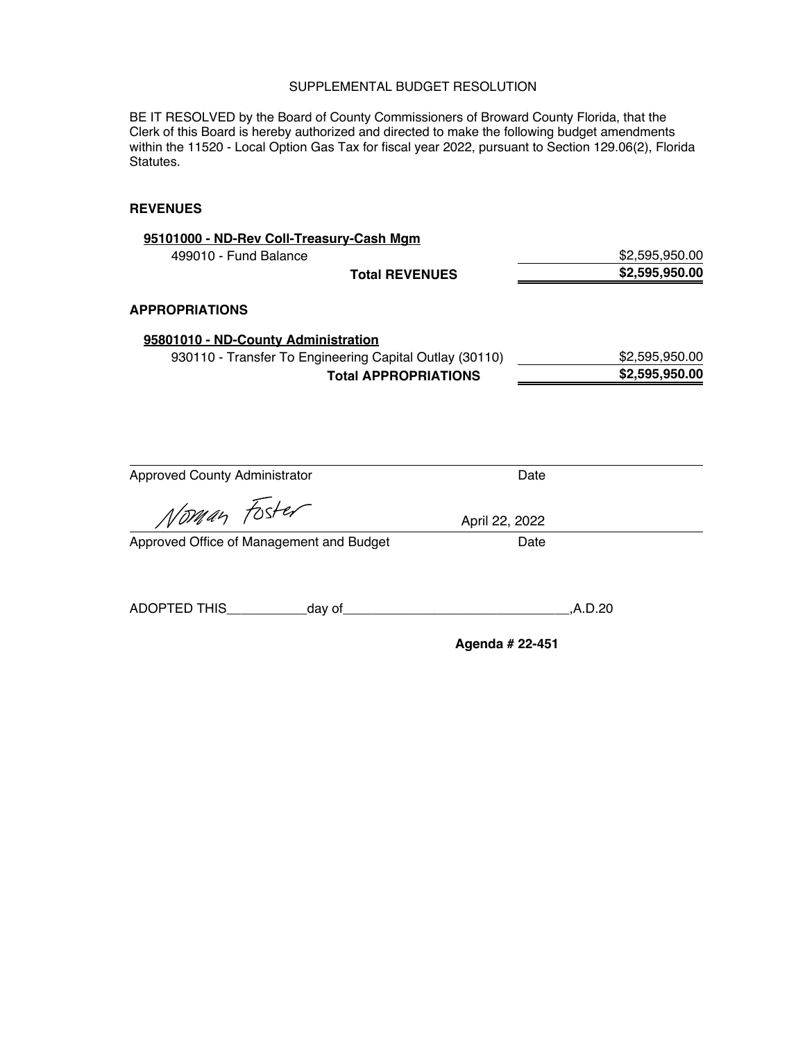BE IT RESOLVED by the Board of County Commissioners of Broward County Florida, that the Clerk of this Board is hereby authorized and directed to make the following budget amendments within the 11520 - Local Option Gas Tax for fiscal year 2022, pursuant to Section 129.06(2), Florida Statutes.

| 95101000 - ND-Rev Coll-Treasury-Cash Mgm                |                             |                |
|---------------------------------------------------------|-----------------------------|----------------|
| 499010 - Fund Balance                                   |                             | \$2,595,950.00 |
|                                                         | <b>Total REVENUES</b>       | \$2,595,950.00 |
| <b>APPROPRIATIONS</b>                                   |                             |                |
| 95801010 - ND-County Administration                     |                             |                |
| 930110 - Transfer To Engineering Capital Outlay (30110) |                             | \$2,595,950.00 |
|                                                         | <b>Total APPROPRIATIONS</b> | \$2,595,950.00 |
| <b>Approved County Administrator</b>                    | Date                        |                |
| Noman Foster                                            | April 22, 2022              |                |
| Approved Office of Management and Budget                | Date                        |                |
|                                                         |                             | A.D.20         |
|                                                         | Agenda # 22-451             |                |